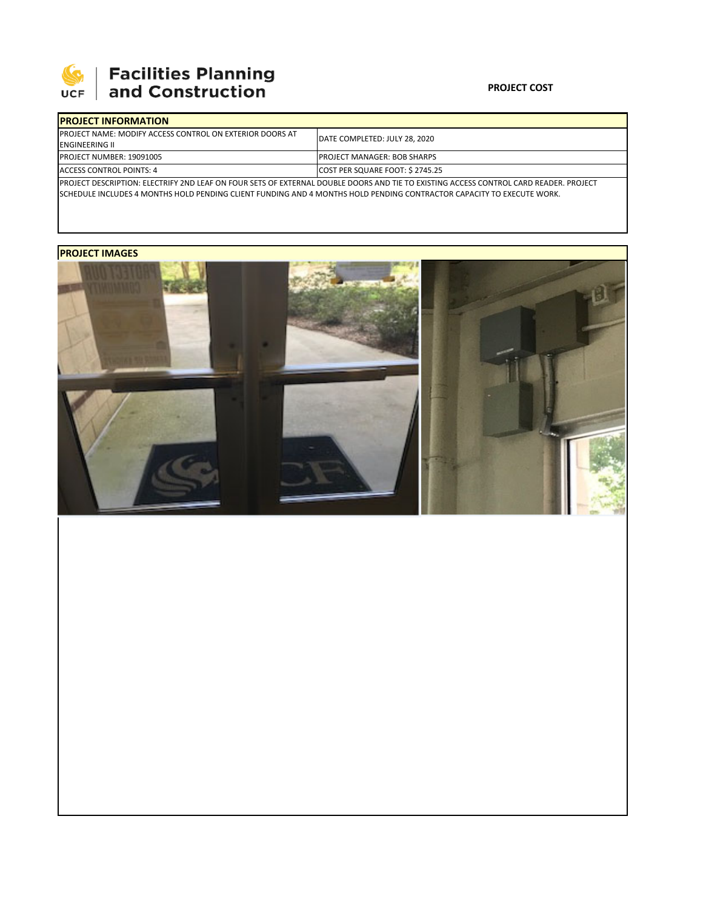

# **SEPTE AND Facilities Planning**<br>UCF and Construction

#### **PROJECT COST**

| <b>IPROJECT INFORMATION</b>                                      |                                                                                                                                        |  |
|------------------------------------------------------------------|----------------------------------------------------------------------------------------------------------------------------------------|--|
| <b>IPROJECT NAME: MODIFY ACCESS CONTROL ON EXTERIOR DOORS AT</b> | IDATE COMPLETED: JULY 28, 2020                                                                                                         |  |
| <b>IENGINEERING II</b>                                           |                                                                                                                                        |  |
| PROJECT NUMBER: 19091005                                         | <b>IPROJECT MANAGER: BOB SHARPS</b>                                                                                                    |  |
| ACCESS CONTROL POINTS: 4                                         | COST PER SQUARE FOOT: \$ 2745.25                                                                                                       |  |
|                                                                  | IPROJECT DESCRIPTION: ELECTRIFY 2ND LEAF ON FOUR SETS OF EXTERNAL DOUBLE DOORS AND TIE TO EXISTING ACCESS CONTROL CARD READER. PROJECT |  |

SCHEDULE INCLUDES 4 MONTHS HOLD PENDING CLIENT FUNDING AND 4 MONTHS HOLD PENDING CONTRACTOR CAPACITY TO EXECUTE WORK.

## **PROJECT IMAGES**